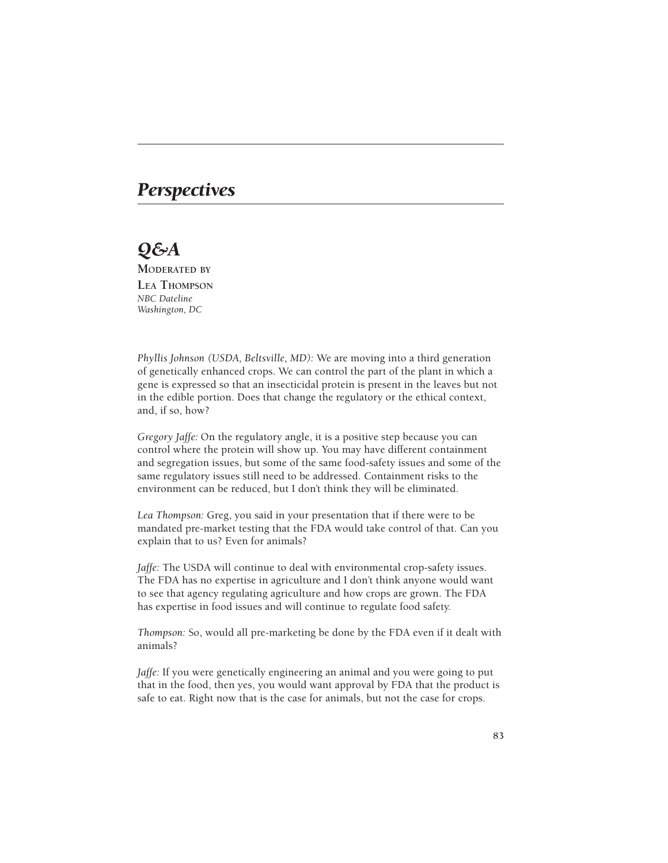## *Perspectives*

## *Q&A* **MODERATED BY**

**LEA THOMPSON** *NBC Dateline Washington, DC*

*Phyllis Johnson (USDA, Beltsville, MD):* We are moving into a third generation of genetically enhanced crops. We can control the part of the plant in which a gene is expressed so that an insecticidal protein is present in the leaves but not in the edible portion. Does that change the regulatory or the ethical context, and, if so, how?

*Gregory Jaffe:* On the regulatory angle, it is a positive step because you can control where the protein will show up. You may have different containment and segregation issues, but some of the same food-safety issues and some of the same regulatory issues still need to be addressed. Containment risks to the environment can be reduced, but I don't think they will be eliminated.

*Lea Thompson:* Greg, you said in your presentation that if there were to be mandated pre-market testing that the FDA would take control of that. Can you explain that to us? Even for animals?

*Jaffe:* The USDA will continue to deal with environmental crop-safety issues. The FDA has no expertise in agriculture and I don't think anyone would want to see that agency regulating agriculture and how crops are grown. The FDA has expertise in food issues and will continue to regulate food safety.

*Thompson:* So, would all pre-marketing be done by the FDA even if it dealt with animals?

*Jaffe:* If you were genetically engineering an animal and you were going to put that in the food, then yes, you would want approval by FDA that the product is safe to eat. Right now that is the case for animals, but not the case for crops.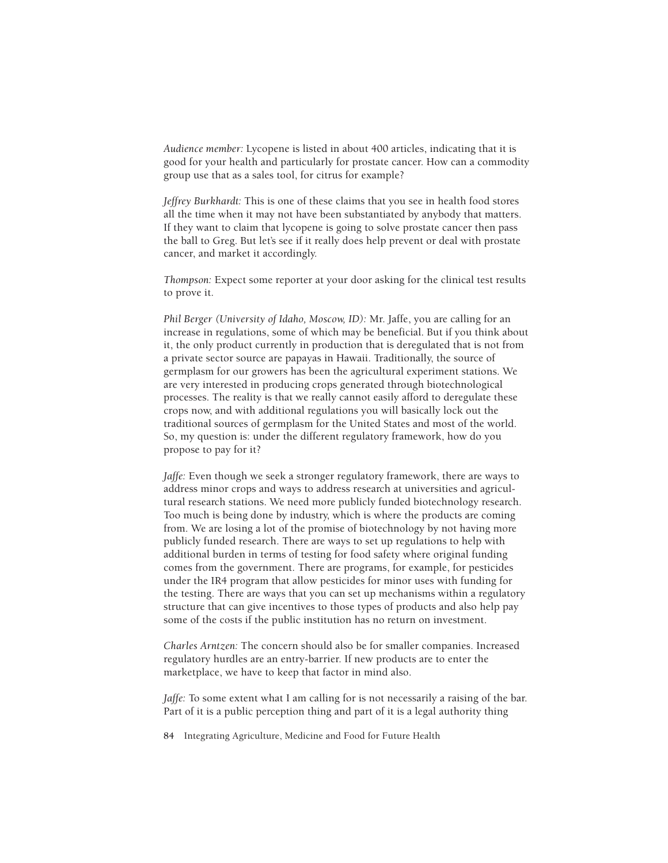*Audience member:* Lycopene is listed in about 400 articles, indicating that it is good for your health and particularly for prostate cancer. How can a commodity group use that as a sales tool, for citrus for example?

*Jeffrey Burkhardt:* This is one of these claims that you see in health food stores all the time when it may not have been substantiated by anybody that matters. If they want to claim that lycopene is going to solve prostate cancer then pass the ball to Greg. But let's see if it really does help prevent or deal with prostate cancer, and market it accordingly.

*Thompson:* Expect some reporter at your door asking for the clinical test results to prove it.

*Phil Berger (University of Idaho, Moscow, ID):* Mr. Jaffe, you are calling for an increase in regulations, some of which may be beneficial. But if you think about it, the only product currently in production that is deregulated that is not from a private sector source are papayas in Hawaii. Traditionally, the source of germplasm for our growers has been the agricultural experiment stations. We are very interested in producing crops generated through biotechnological processes. The reality is that we really cannot easily afford to deregulate these crops now, and with additional regulations you will basically lock out the traditional sources of germplasm for the United States and most of the world. So, my question is: under the different regulatory framework, how do you propose to pay for it?

*Jaffe:* Even though we seek a stronger regulatory framework, there are ways to address minor crops and ways to address research at universities and agricultural research stations. We need more publicly funded biotechnology research. Too much is being done by industry, which is where the products are coming from. We are losing a lot of the promise of biotechnology by not having more publicly funded research. There are ways to set up regulations to help with additional burden in terms of testing for food safety where original funding comes from the government. There are programs, for example, for pesticides under the IR4 program that allow pesticides for minor uses with funding for the testing. There are ways that you can set up mechanisms within a regulatory structure that can give incentives to those types of products and also help pay some of the costs if the public institution has no return on investment.

*Charles Arntzen:* The concern should also be for smaller companies. Increased regulatory hurdles are an entry-barrier. If new products are to enter the marketplace, we have to keep that factor in mind also.

*Jaffe:* To some extent what I am calling for is not necessarily a raising of the bar. Part of it is a public perception thing and part of it is a legal authority thing

**84** Integrating Agriculture, Medicine and Food for Future Health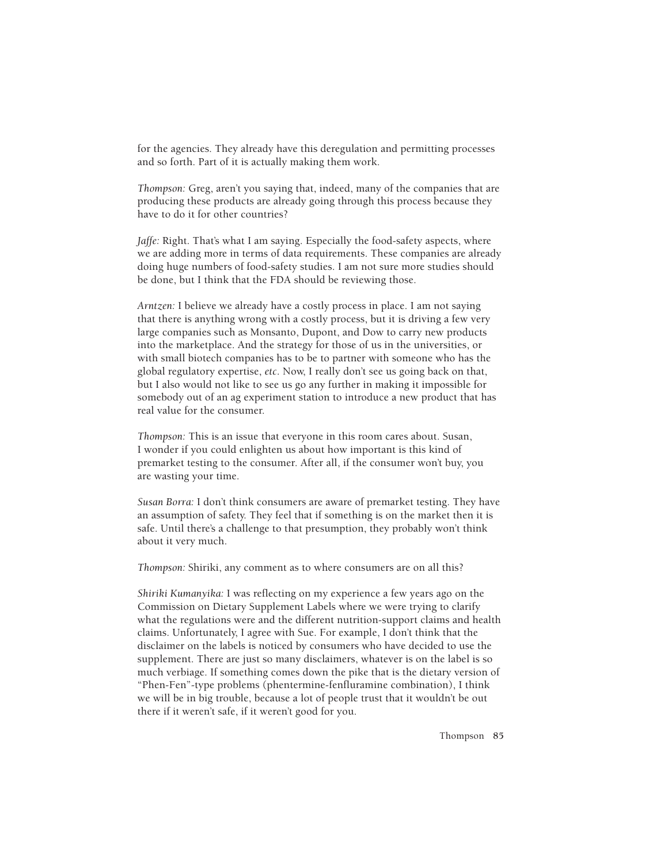for the agencies. They already have this deregulation and permitting processes and so forth. Part of it is actually making them work.

*Thompson:* Greg, aren't you saying that, indeed, many of the companies that are producing these products are already going through this process because they have to do it for other countries?

*Jaffe: Right. That's what I am saying. Especially the food-safety aspects, where* we are adding more in terms of data requirements. These companies are already doing huge numbers of food-safety studies. I am not sure more studies should be done, but I think that the FDA should be reviewing those.

*Arntzen:* I believe we already have a costly process in place. I am not saying that there is anything wrong with a costly process, but it is driving a few very large companies such as Monsanto, Dupont, and Dow to carry new products into the marketplace. And the strategy for those of us in the universities, or with small biotech companies has to be to partner with someone who has the global regulatory expertise, *etc*. Now, I really don't see us going back on that, but I also would not like to see us go any further in making it impossible for somebody out of an ag experiment station to introduce a new product that has real value for the consumer.

*Thompson:* This is an issue that everyone in this room cares about. Susan, I wonder if you could enlighten us about how important is this kind of premarket testing to the consumer. After all, if the consumer won't buy, you are wasting your time.

*Susan Borra:* I don't think consumers are aware of premarket testing. They have an assumption of safety. They feel that if something is on the market then it is safe. Until there's a challenge to that presumption, they probably won't think about it very much.

*Thompson:* Shiriki, any comment as to where consumers are on all this?

*Shiriki Kumanyika:* I was reflecting on my experience a few years ago on the Commission on Dietary Supplement Labels where we were trying to clarify what the regulations were and the different nutrition-support claims and health claims. Unfortunately, I agree with Sue. For example, I don't think that the disclaimer on the labels is noticed by consumers who have decided to use the supplement. There are just so many disclaimers, whatever is on the label is so much verbiage. If something comes down the pike that is the dietary version of "Phen-Fen"-type problems (phentermine-fenfluramine combination), I think we will be in big trouble, because a lot of people trust that it wouldn't be out there if it weren't safe, if it weren't good for you.

**85** Thompson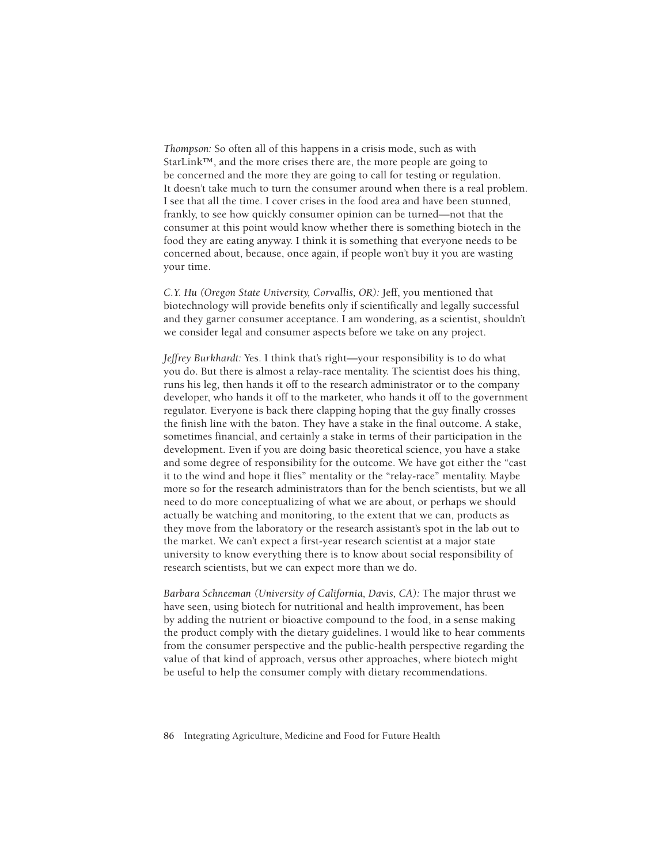*Thompson:* So often all of this happens in a crisis mode, such as with StarLink™, and the more crises there are, the more people are going to be concerned and the more they are going to call for testing or regulation. It doesn't take much to turn the consumer around when there is a real problem. I see that all the time. I cover crises in the food area and have been stunned, frankly, to see how quickly consumer opinion can be turned—not that the consumer at this point would know whether there is something biotech in the food they are eating anyway. I think it is something that everyone needs to be concerned about, because, once again, if people won't buy it you are wasting your time.

*C.Y. Hu (Oregon State University, Corvallis, OR):* Jeff, you mentioned that biotechnology will provide benefits only if scientifically and legally successful and they garner consumer acceptance. I am wondering, as a scientist, shouldn't we consider legal and consumer aspects before we take on any project.

*Jeffrey Burkhardt:* Yes. I think that's right—your responsibility is to do what you do. But there is almost a relay-race mentality. The scientist does his thing, runs his leg, then hands it off to the research administrator or to the company developer, who hands it off to the marketer, who hands it off to the government regulator. Everyone is back there clapping hoping that the guy finally crosses the finish line with the baton. They have a stake in the final outcome. A stake, sometimes financial, and certainly a stake in terms of their participation in the development. Even if you are doing basic theoretical science, you have a stake and some degree of responsibility for the outcome. We have got either the "cast it to the wind and hope it flies" mentality or the "relay-race" mentality. Maybe more so for the research administrators than for the bench scientists, but we all need to do more conceptualizing of what we are about, or perhaps we should actually be watching and monitoring, to the extent that we can, products as they move from the laboratory or the research assistant's spot in the lab out to the market. We can't expect a first-year research scientist at a major state university to know everything there is to know about social responsibility of research scientists, but we can expect more than we do.

*Barbara Schneeman (University of California, Davis, CA):* The major thrust we have seen, using biotech for nutritional and health improvement, has been by adding the nutrient or bioactive compound to the food, in a sense making the product comply with the dietary guidelines. I would like to hear comments from the consumer perspective and the public-health perspective regarding the value of that kind of approach, versus other approaches, where biotech might be useful to help the consumer comply with dietary recommendations.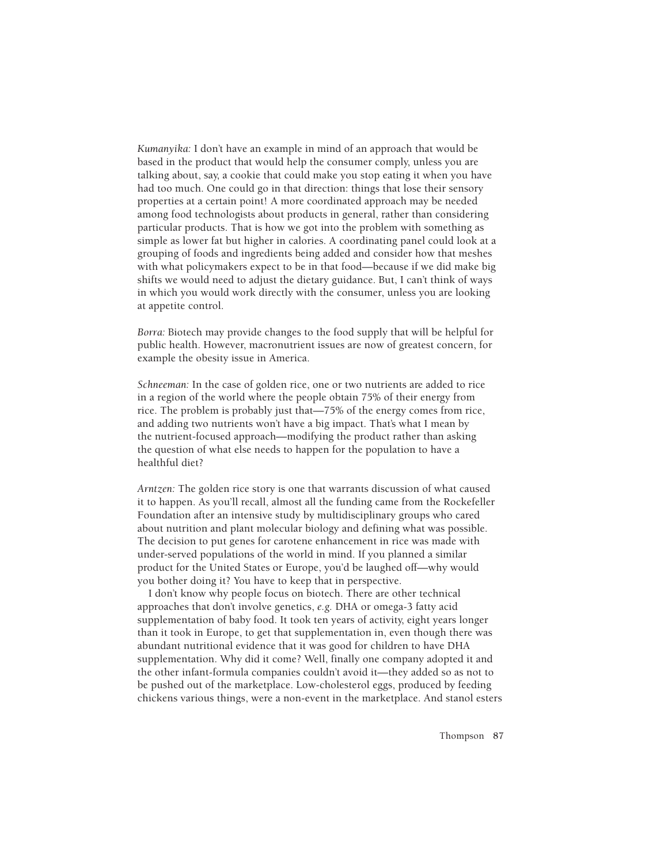*Kumanyika:* I don't have an example in mind of an approach that would be based in the product that would help the consumer comply, unless you are talking about, say, a cookie that could make you stop eating it when you have had too much. One could go in that direction: things that lose their sensory properties at a certain point! A more coordinated approach may be needed among food technologists about products in general, rather than considering particular products. That is how we got into the problem with something as simple as lower fat but higher in calories. A coordinating panel could look at a grouping of foods and ingredients being added and consider how that meshes with what policymakers expect to be in that food—because if we did make big shifts we would need to adjust the dietary guidance. But, I can't think of ways in which you would work directly with the consumer, unless you are looking at appetite control.

*Borra:* Biotech may provide changes to the food supply that will be helpful for public health. However, macronutrient issues are now of greatest concern, for example the obesity issue in America.

*Schneeman:* In the case of golden rice, one or two nutrients are added to rice in a region of the world where the people obtain 75% of their energy from rice. The problem is probably just that—75% of the energy comes from rice, and adding two nutrients won't have a big impact. That's what I mean by the nutrient-focused approach—modifying the product rather than asking the question of what else needs to happen for the population to have a healthful diet?

*Arntzen:* The golden rice story is one that warrants discussion of what caused it to happen. As you'll recall, almost all the funding came from the Rockefeller Foundation after an intensive study by multidisciplinary groups who cared about nutrition and plant molecular biology and defining what was possible. The decision to put genes for carotene enhancement in rice was made with under-served populations of the world in mind. If you planned a similar product for the United States or Europe, you'd be laughed off—why would you bother doing it? You have to keep that in perspective.

I don't know why people focus on biotech. There are other technical approaches that don't involve genetics, *e.g.* DHA or omega-3 fatty acid supplementation of baby food. It took ten years of activity, eight years longer than it took in Europe, to get that supplementation in, even though there was abundant nutritional evidence that it was good for children to have DHA supplementation. Why did it come? Well, finally one company adopted it and the other infant-formula companies couldn't avoid it—they added so as not to be pushed out of the marketplace. Low-cholesterol eggs, produced by feeding chickens various things, were a non-event in the marketplace. And stanol esters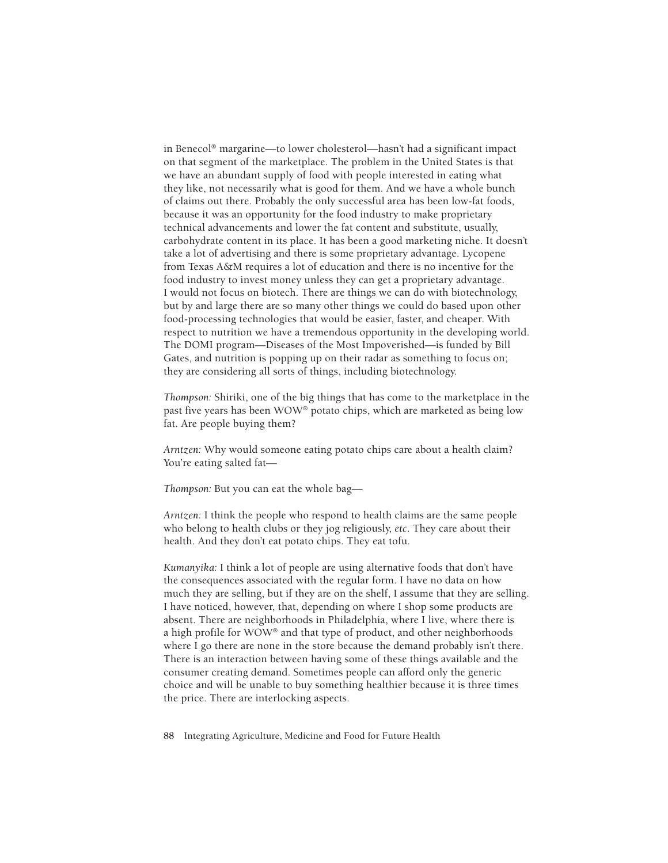in Benecol® margarine—to lower cholesterol—hasn't had a significant impact on that segment of the marketplace. The problem in the United States is that we have an abundant supply of food with people interested in eating what they like, not necessarily what is good for them. And we have a whole bunch of claims out there. Probably the only successful area has been low-fat foods, because it was an opportunity for the food industry to make proprietary technical advancements and lower the fat content and substitute, usually, carbohydrate content in its place. It has been a good marketing niche. It doesn't take a lot of advertising and there is some proprietary advantage. Lycopene from Texas A&M requires a lot of education and there is no incentive for the food industry to invest money unless they can get a proprietary advantage. I would not focus on biotech. There are things we can do with biotechnology, but by and large there are so many other things we could do based upon other food-processing technologies that would be easier, faster, and cheaper. With respect to nutrition we have a tremendous opportunity in the developing world. The DOMI program—Diseases of the Most Impoverished—is funded by Bill Gates, and nutrition is popping up on their radar as something to focus on; they are considering all sorts of things, including biotechnology.

*Thompson:* Shiriki, one of the big things that has come to the marketplace in the past five years has been WOW® potato chips, which are marketed as being low fat. Are people buying them?

*Arntzen:* Why would someone eating potato chips care about a health claim? You're eating salted fat—

*Thompson:* But you can eat the whole bag—

*Arntzen:* I think the people who respond to health claims are the same people who belong to health clubs or they jog religiously, *etc*. They care about their health. And they don't eat potato chips. They eat tofu.

*Kumanyika:* I think a lot of people are using alternative foods that don't have the consequences associated with the regular form. I have no data on how much they are selling, but if they are on the shelf, I assume that they are selling. I have noticed, however, that, depending on where I shop some products are absent. There are neighborhoods in Philadelphia, where I live, where there is a high profile for WOW® and that type of product, and other neighborhoods where I go there are none in the store because the demand probably isn't there. There is an interaction between having some of these things available and the consumer creating demand. Sometimes people can afford only the generic choice and will be unable to buy something healthier because it is three times the price. There are interlocking aspects.

**88** Integrating Agriculture, Medicine and Food for Future Health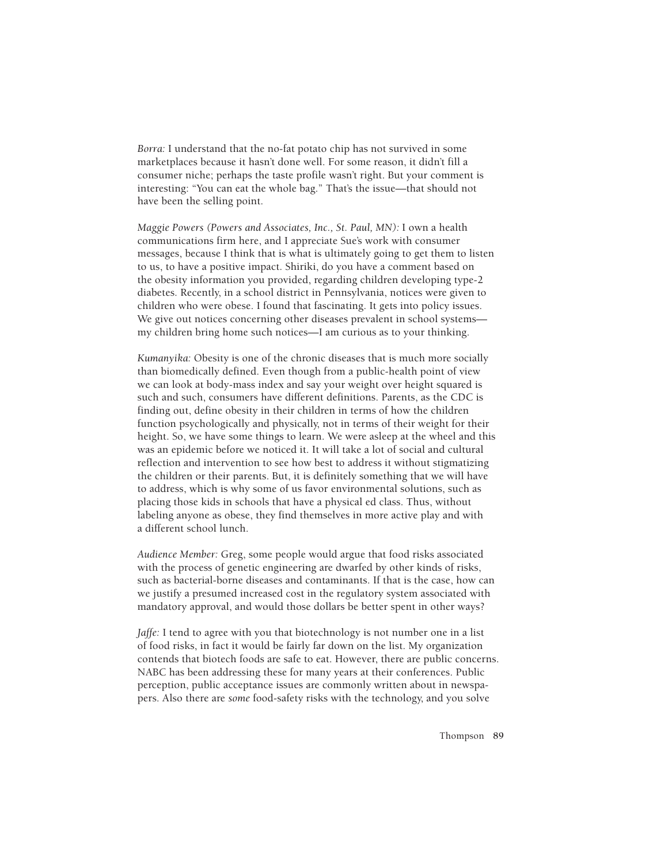*Borra:* I understand that the no-fat potato chip has not survived in some marketplaces because it hasn't done well. For some reason, it didn't fill a consumer niche; perhaps the taste profile wasn't right. But your comment is interesting: "You can eat the whole bag." That's the issue—that should not have been the selling point.

*Maggie Powers (Powers and Associates, Inc., St. Paul, MN):* I own a health communications firm here, and I appreciate Sue's work with consumer messages, because I think that is what is ultimately going to get them to listen to us, to have a positive impact. Shiriki, do you have a comment based on the obesity information you provided, regarding children developing type-2 diabetes. Recently, in a school district in Pennsylvania, notices were given to children who were obese. I found that fascinating. It gets into policy issues. We give out notices concerning other diseases prevalent in school systems my children bring home such notices—I am curious as to your thinking.

*Kumanyika:* Obesity is one of the chronic diseases that is much more socially than biomedically defined. Even though from a public-health point of view we can look at body-mass index and say your weight over height squared is such and such, consumers have different definitions. Parents, as the CDC is finding out, define obesity in their children in terms of how the children function psychologically and physically, not in terms of their weight for their height. So, we have some things to learn. We were asleep at the wheel and this was an epidemic before we noticed it. It will take a lot of social and cultural reflection and intervention to see how best to address it without stigmatizing the children or their parents. But, it is definitely something that we will have to address, which is why some of us favor environmental solutions, such as placing those kids in schools that have a physical ed class. Thus, without labeling anyone as obese, they find themselves in more active play and with a different school lunch.

*Audience Member:* Greg, some people would argue that food risks associated with the process of genetic engineering are dwarfed by other kinds of risks, such as bacterial-borne diseases and contaminants. If that is the case, how can we justify a presumed increased cost in the regulatory system associated with mandatory approval, and would those dollars be better spent in other ways?

*Jaffe:* I tend to agree with you that biotechnology is not number one in a list of food risks, in fact it would be fairly far down on the list. My organization contends that biotech foods are safe to eat. However, there are public concerns. NABC has been addressing these for many years at their conferences. Public perception, public acceptance issues are commonly written about in newspapers. Also there are *some* food-safety risks with the technology, and you solve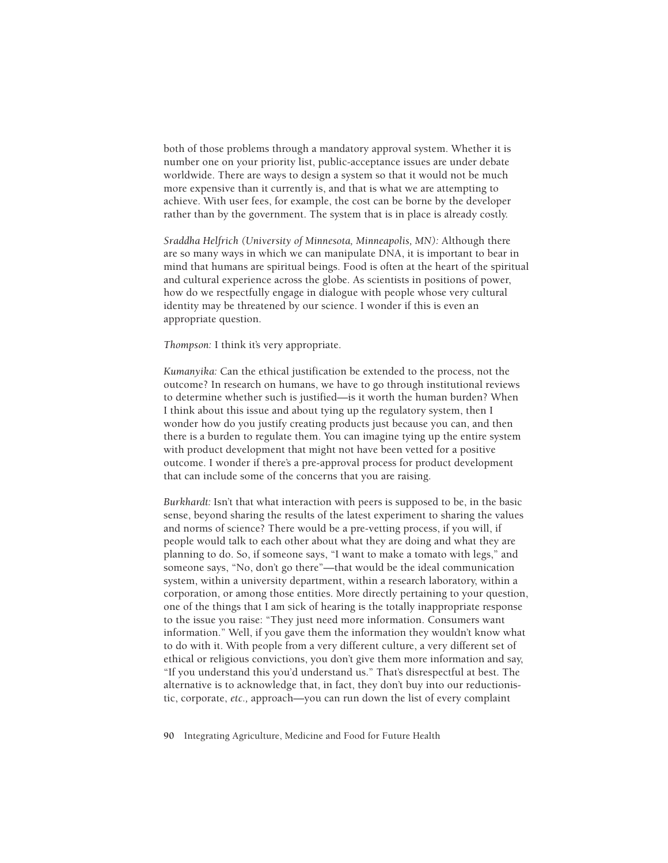both of those problems through a mandatory approval system. Whether it is number one on your priority list, public-acceptance issues are under debate worldwide. There are ways to design a system so that it would not be much more expensive than it currently is, and that is what we are attempting to achieve. With user fees, for example, the cost can be borne by the developer rather than by the government. The system that is in place is already costly.

*Sraddha Helfrich (University of Minnesota, Minneapolis, MN):* Although there are so many ways in which we can manipulate DNA, it is important to bear in mind that humans are spiritual beings. Food is often at the heart of the spiritual and cultural experience across the globe. As scientists in positions of power, how do we respectfully engage in dialogue with people whose very cultural identity may be threatened by our science. I wonder if this is even an appropriate question.

*Thompson:* I think it's very appropriate.

*Kumanyika:* Can the ethical justification be extended to the process, not the outcome? In research on humans, we have to go through institutional reviews to determine whether such is justified—is it worth the human burden? When I think about this issue and about tying up the regulatory system, then I wonder how do you justify creating products just because you can, and then there is a burden to regulate them. You can imagine tying up the entire system with product development that might not have been vetted for a positive outcome. I wonder if there's a pre-approval process for product development that can include some of the concerns that you are raising.

*Burkhardt:* Isn't that what interaction with peers is supposed to be, in the basic sense, beyond sharing the results of the latest experiment to sharing the values and norms of science? There would be a pre-vetting process, if you will, if people would talk to each other about what they are doing and what they are planning to do. So, if someone says, "I want to make a tomato with legs," and someone says, "No, don't go there"—that would be the ideal communication system, within a university department, within a research laboratory, within a corporation, or among those entities. More directly pertaining to your question, one of the things that I am sick of hearing is the totally inappropriate response to the issue you raise: "They just need more information. Consumers want information." Well, if you gave them the information they wouldn't know what to do with it. With people from a very different culture, a very different set of ethical or religious convictions, you don't give them more information and say, "If you understand this you'd understand us." That's disrespectful at best. The alternative is to acknowledge that, in fact, they don't buy into our reductionistic, corporate, *etc.,* approach—you can run down the list of every complaint

**90** Integrating Agriculture, Medicine and Food for Future Health